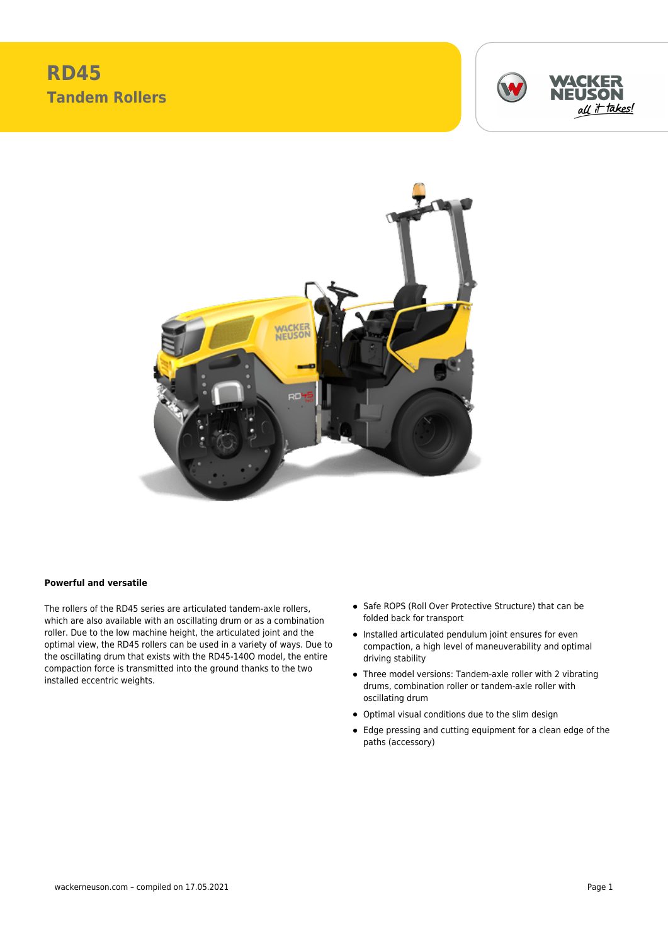## **RD45 Tandem Rollers**





## **Powerful and versatile**

The rollers of the RD45 series are articulated tandem-axle rollers, which are also available with an oscillating drum or as a combination roller. Due to the low machine height, the articulated joint and the optimal view, the RD45 rollers can be used in a variety of ways. Due to the oscillating drum that exists with the RD45-140O model, the entire compaction force is transmitted into the ground thanks to the two installed eccentric weights.

- Safe ROPS (Roll Over Protective Structure) that can be folded back for transport
- Installed articulated pendulum joint ensures for even compaction, a high level of maneuverability and optimal driving stability
- Three model versions: Tandem-axle roller with 2 vibrating drums, combination roller or tandem-axle roller with oscillating drum
- Optimal visual conditions due to the slim design
- Edge pressing and cutting equipment for a clean edge of the paths (accessory)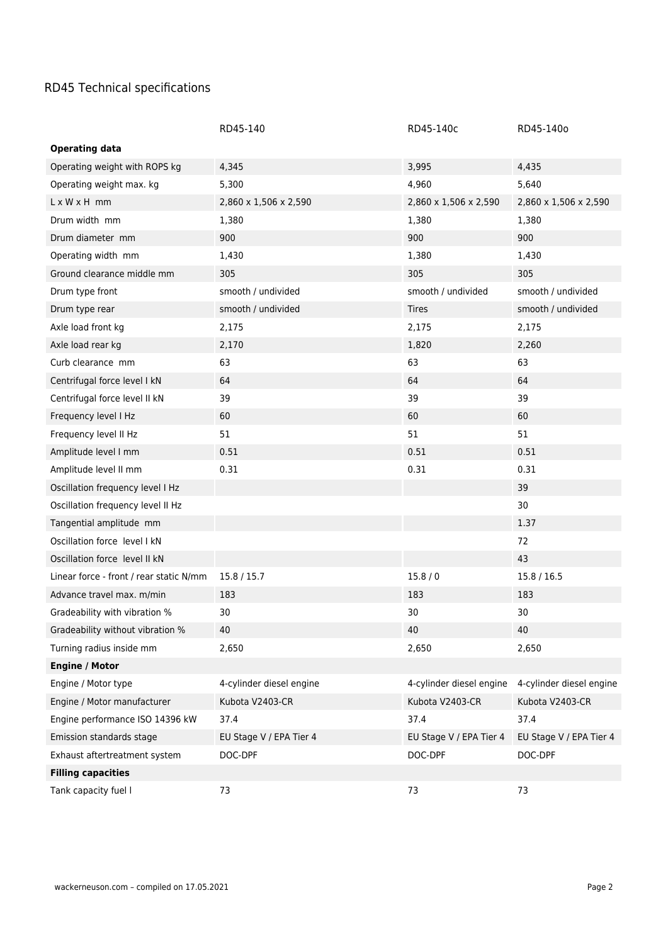## RD45 Technical specifications

|                                         | RD45-140                 | RD45-140c                | RD45-140o                |
|-----------------------------------------|--------------------------|--------------------------|--------------------------|
| <b>Operating data</b>                   |                          |                          |                          |
| Operating weight with ROPS kg           | 4,345                    | 3,995                    | 4,435                    |
| Operating weight max. kg                | 5,300                    | 4,960                    | 5,640                    |
| $L \times W \times H$ mm                | 2,860 x 1,506 x 2,590    | 2,860 x 1,506 x 2,590    | 2,860 x 1,506 x 2,590    |
| Drum width mm                           | 1,380                    | 1,380                    | 1,380                    |
| Drum diameter mm                        | 900                      | 900                      | 900                      |
| Operating width mm                      | 1,430                    | 1,380                    | 1,430                    |
| Ground clearance middle mm              | 305                      | 305                      | 305                      |
| Drum type front                         | smooth / undivided       | smooth / undivided       | smooth / undivided       |
| Drum type rear                          | smooth / undivided       | <b>Tires</b>             | smooth / undivided       |
| Axle load front kg                      | 2,175                    | 2,175                    | 2,175                    |
| Axle load rear kg                       | 2,170                    | 1,820                    | 2,260                    |
| Curb clearance mm                       | 63                       | 63                       | 63                       |
| Centrifugal force level I kN            | 64                       | 64                       | 64                       |
| Centrifugal force level II kN           | 39                       | 39                       | 39                       |
| Frequency level I Hz                    | 60                       | 60                       | 60                       |
| Frequency level II Hz                   | 51                       | 51                       | 51                       |
| Amplitude level I mm                    | 0.51                     | 0.51                     | 0.51                     |
| Amplitude level II mm                   | 0.31                     | 0.31                     | 0.31                     |
| Oscillation frequency level I Hz        |                          |                          | 39                       |
| Oscillation frequency level II Hz       |                          |                          | 30                       |
| Tangential amplitude mm                 |                          |                          | 1.37                     |
| Oscillation force level I kN            |                          |                          | 72                       |
| Oscillation force level II kN           |                          |                          | 43                       |
| Linear force - front / rear static N/mm | 15.8 / 15.7              | 15.8/0                   | 15.8 / 16.5              |
| Advance travel max. m/min               | 183                      | 183                      | 183                      |
| Gradeability with vibration %           | 30                       | 30                       | 30                       |
| Gradeability without vibration %        | 40                       | 40                       | 40                       |
| Turning radius inside mm                | 2,650                    | 2,650                    | 2,650                    |
| <b>Engine / Motor</b>                   |                          |                          |                          |
| Engine / Motor type                     | 4-cylinder diesel engine | 4-cylinder diesel engine | 4-cylinder diesel engine |
| Engine / Motor manufacturer             | Kubota V2403-CR          | Kubota V2403-CR          | Kubota V2403-CR          |
| Engine performance ISO 14396 kW         | 37.4                     | 37.4                     | 37.4                     |
| Emission standards stage                | EU Stage V / EPA Tier 4  | EU Stage V / EPA Tier 4  | EU Stage V / EPA Tier 4  |
| Exhaust aftertreatment system           | DOC-DPF                  | DOC-DPF                  | DOC-DPF                  |
| <b>Filling capacities</b>               |                          |                          |                          |
| Tank capacity fuel I                    | 73                       | 73                       | 73                       |